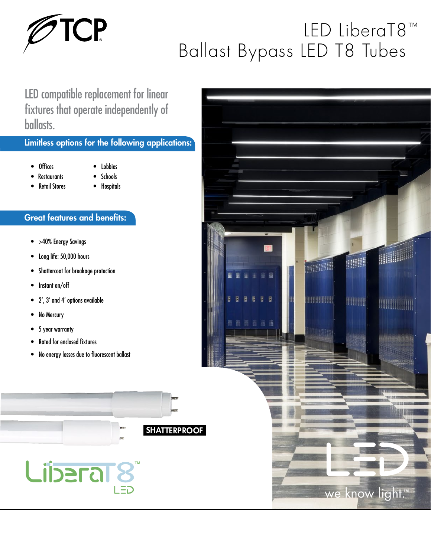

## LED LiberaT8™ Ballast Bypass LED T8 Tubes

LED compatible replacement for linear fixtures that operate independently of ballasts.

## Limitless options for the following applications:

- Offices
- Lobbies • Schools
- Restaurants
- Retail Stores
- Hospitals

## Great features and benefits:

- >40% Energy Savings
- Long life: 50,000 hours
- Shattercoat for breakage protection
- Instant on/off
- 2', 3' and 4' options available
- No Mercury
- 5 year warranty
- Rated for enclosed fixtures
- No energy losses due to fluorescent ballast